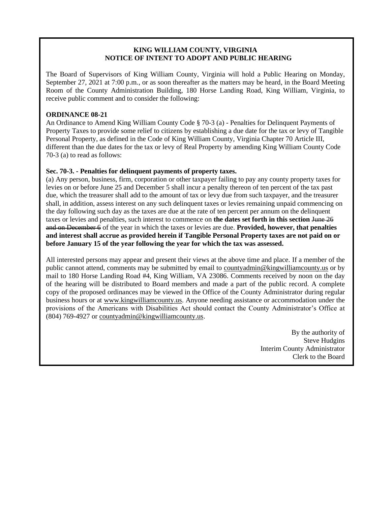## **KING WILLIAM COUNTY, VIRGINIA NOTICE OF INTENT TO ADOPT AND PUBLIC HEARING**

The Board of Supervisors of King William County, Virginia will hold a Public Hearing on Monday, September 27, 2021 at 7:00 p.m., or as soon thereafter as the matters may be heard, in the Board Meeting Room of the County Administration Building, 180 Horse Landing Road, King William, Virginia, to receive public comment and to consider the following:

## **ORDINANCE 08-21**

An Ordinance to Amend King William County Code § 70-3 (a) - Penalties for Delinquent Payments of Property Taxes to provide some relief to citizens by establishing a due date for the tax or levy of Tangible Personal Property, as defined in the Code of King William County, Virginia Chapter 70 Article III, different than the due dates for the tax or levy of Real Property by amending King William County Code 70-3 (a) to read as follows:

## **Sec. 70-3. - Penalties for delinquent payments of property taxes.**

(a) Any person, business, firm, corporation or other taxpayer failing to pay any county property taxes for levies on or before June 25 and December 5 shall incur a penalty thereon of ten percent of the tax past due, which the treasurer shall add to the amount of tax or levy due from such taxpayer, and the treasurer shall, in addition, assess interest on any such delinquent taxes or levies remaining unpaid commencing on the day following such day as the taxes are due at the rate of ten percent per annum on the delinquent taxes or levies and penalties, such interest to commence on **the dates set forth in this section** June 26 and on December 6 of the year in which the taxes or levies are due. **Provided, however, that penalties and interest shall accrue as provided herein if Tangible Personal Property taxes are not paid on or before January 15 of the year following the year for which the tax was assessed.**

All interested persons may appear and present their views at the above time and place. If a member of the public cannot attend, comments may be submitted by email to [countyadmin@kingwilliamcounty.us](mailto:countyadmin@kingwilliamcounty.us) or by mail to 180 Horse Landing Road #4, King William, VA 23086. Comments received by noon on the day of the hearing will be distributed to Board members and made a part of the public record. A complete copy of the proposed ordinances may be viewed in the Office of the County Administrator during regular business hours or at [www.kingwilliamcounty.us.](http://www.kingwilliamcounty.us/) Anyone needing assistance or accommodation under the provisions of the Americans with Disabilities Act should contact the County Administrator's Office at (804) 769-4927 or [countyadmin@kingwilliamcounty.us.](mailto:countyadmin@kingwilliamcounty.us)

> By the authority of Steve Hudgins Interim County Administrator Clerk to the Board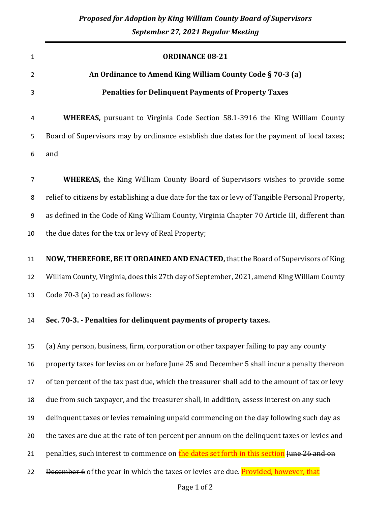| $\mathbf{1}$   | <b>ORDINANCE 08-21</b>                                                                           |
|----------------|--------------------------------------------------------------------------------------------------|
| $\overline{2}$ | An Ordinance to Amend King William County Code § 70-3 (a)                                        |
| 3              | <b>Penalties for Delinquent Payments of Property Taxes</b>                                       |
| 4              | <b>WHEREAS,</b> pursuant to Virginia Code Section 58.1-3916 the King William County              |
| 5              | Board of Supervisors may by ordinance establish due dates for the payment of local taxes;        |
| 6              | and                                                                                              |
| $\overline{7}$ | WHEREAS, the King William County Board of Supervisors wishes to provide some                     |
| 8              | relief to citizens by establishing a due date for the tax or levy of Tangible Personal Property, |
| 9              | as defined in the Code of King William County, Virginia Chapter 70 Article III, different than   |
| 10             | the due dates for the tax or levy of Real Property;                                              |
| 11             | NOW, THEREFORE, BE IT ORDAINED AND ENACTED, that the Board of Supervisors of King                |
| 12             | William County, Virginia, does this 27th day of September, 2021, amend King William County       |
| 13             | Code 70-3 (a) to read as follows:                                                                |
| 14             | Sec. 70-3. - Penalties for delinquent payments of property taxes.                                |
| 15             | (a) Any person, business, firm, corporation or other taxpayer failing to pay any county          |
| 16             | property taxes for levies on or before June 25 and December 5 shall incur a penalty thereon      |
| 17             | of ten percent of the tax past due, which the treasurer shall add to the amount of tax or levy   |
| 18             | due from such taxpayer, and the treasurer shall, in addition, assess interest on any such        |
| 19             | delinquent taxes or levies remaining unpaid commencing on the day following such day as          |
| 20             | the taxes are due at the rate of ten percent per annum on the delinquent taxes or levies and     |
| 21             | penalties, such interest to commence on the dates set forth in this section June 26 and on       |
| 22             | December 6 of the year in which the taxes or levies are due. Provided, however, that             |